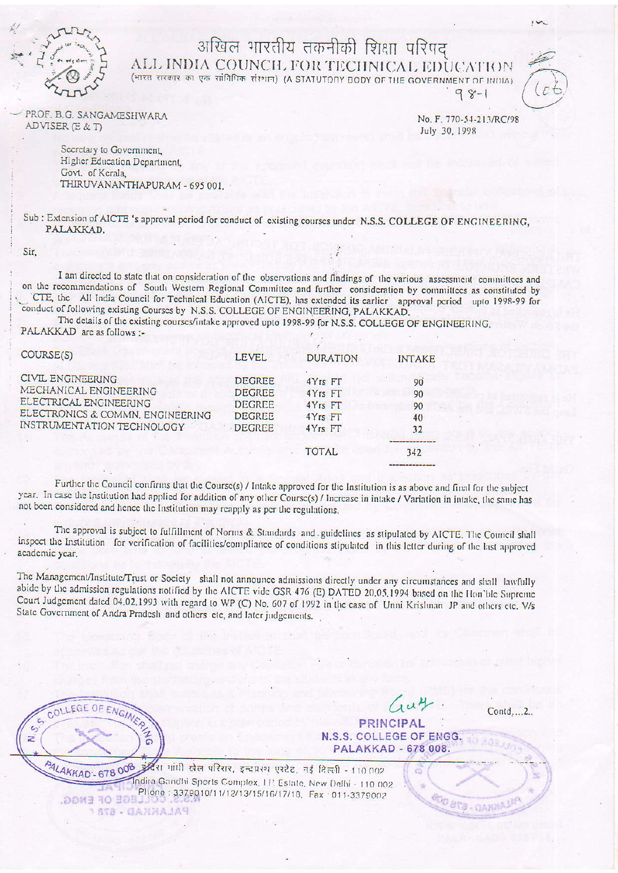

## अखिल भारतीय तकनीकी शिक्षा परिपद ALL INDIA COUNCH. FOR TECHNICAL EDUCATION

(भारत रारकार का एक सांविधिक संस्थान) (A STATUTORY BODY OF THE GOVERNMENT OF HUDIA)  $98 - 1$ 

PROF. B.G. SANGAMESHWARA ADVISER (E & T)

No. F. 770-54-213/RC/98 July 30, 1998

Secretary to Government, Higher Education Department, Govt. of Kerala THIRUVANANTHAPURAM - 695 001.

Sub: Extension of AICTE 's approval period for conduct of existing courses under N.S.S. COLLEGE OF ENGINEERING, PALAKKAD.

Sir.

I am directed to state that on consideration of the observations and findings of the various assessment committees and on the recommendations of South Western Regional Committee and further consideration by committees as constituted by CTE, the All India Council for Technical Education (AICTE), has extended its earlier approval period upto 1998-99 for conduct of following existing Courses by N.S.S. COLLEGE OF ENGINEERING, PALAKKAD.

The details of the existing courses/intake approved upto 1998-99 for N.S.S. COLLEGE OF ENGINEERING, PALAKKAD are as follows :-

| COURSE(S)                                                                                                                               | <b>LEVEL</b>                                                                      | <b>DURATION</b>                                                 | <b>INTAKE</b>              |
|-----------------------------------------------------------------------------------------------------------------------------------------|-----------------------------------------------------------------------------------|-----------------------------------------------------------------|----------------------------|
| CIVIL ENGINEERING<br>MECHANICAL ENGINEERING<br>ELECTRICAL ENGINEERING<br>ELECTRONICS & COMMN. ENGINEERING<br>INSTRUMENTATION TECHNOLOGY | <b>DEGREE</b><br><b>DEGREE</b><br><b>DEGREE</b><br><b>DEGREE</b><br><b>DEGREE</b> | $4Yrs$ FT<br>$4Yrs$ FT<br>$4Yrs$ $FT$<br>$4Yrs$ FT<br>$4Yrs$ FT | 90<br>90<br>90<br>40<br>32 |
|                                                                                                                                         |                                                                                   | <b>TOTAL</b>                                                    | 342                        |

Further the Council confirms that the Course(s) / Intake approved for the Institution is as above and final for the subject year. In case the Institution had applied for addition of any other Course(s) / Increase in intake / Variation in intake, the same has not been considered and hence the Institution may reapply as per the regulations.

The approval is subject to fulfillment of Norms & Standards and guidelines as stipulated by AICTE. The Council shall inspect the Institution for verification of facilities/compliance of conditions stipulated in this letter during of the last approved academic year.

The Management/Institute/Trust or Society shall not announce admissions directly under any circumstances and shall lawfully abide by the admission regulations notified by the AICTE vide GSR 476 (E) DATED 20.05.1994 based on the Hon'ble Supreme Court Judgement dated 04.02.1993 with regard to WP (C) No. 607 of 1992 in the case of Unni Krishnan JP and others etc. V/s State Government of Andra Pradesh and others etc, and later judgements.

COLLEGE OF ENGINE  $\overline{c}$  $\epsilon$ z

 $\mu$ PRINCIPAL

 $Contd...2$ 

**ODD BTA - GANNAL** 

N.S.S. COLLEGE OF ENGG. PALAKKAD - 678 008.

PALAKKAD - 678 008 इंदिरा गांधी खेल परिसर, इन्दप्रस्थ एस्टेट, नई दिल्ली - 110 002 Indira Gandhi Sports Complex, I.P. Estate, New Delhi - 110 002 Phone: 3379010/11/12/13/15/16/17/18, Fax: 011-3379002 EGE OF ENGG. PALAKKAD - 678 r